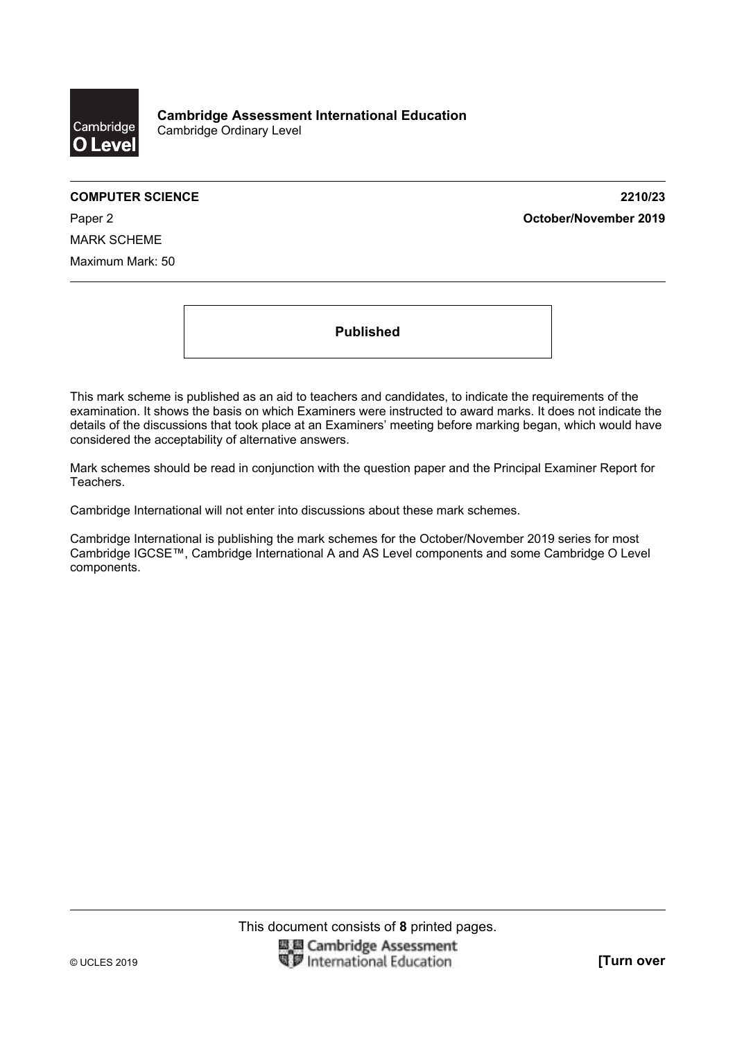

**COMPUTER SCIENCE 2210/23**  Paper 2 **October/November 2019**

MARK SCHEME Maximum Mark: 50

**Published** 

This mark scheme is published as an aid to teachers and candidates, to indicate the requirements of the examination. It shows the basis on which Examiners were instructed to award marks. It does not indicate the details of the discussions that took place at an Examiners' meeting before marking began, which would have considered the acceptability of alternative answers.

Mark schemes should be read in conjunction with the question paper and the Principal Examiner Report for Teachers.

Cambridge International will not enter into discussions about these mark schemes.

Cambridge International is publishing the mark schemes for the October/November 2019 series for most Cambridge IGCSE™, Cambridge International A and AS Level components and some Cambridge O Level components.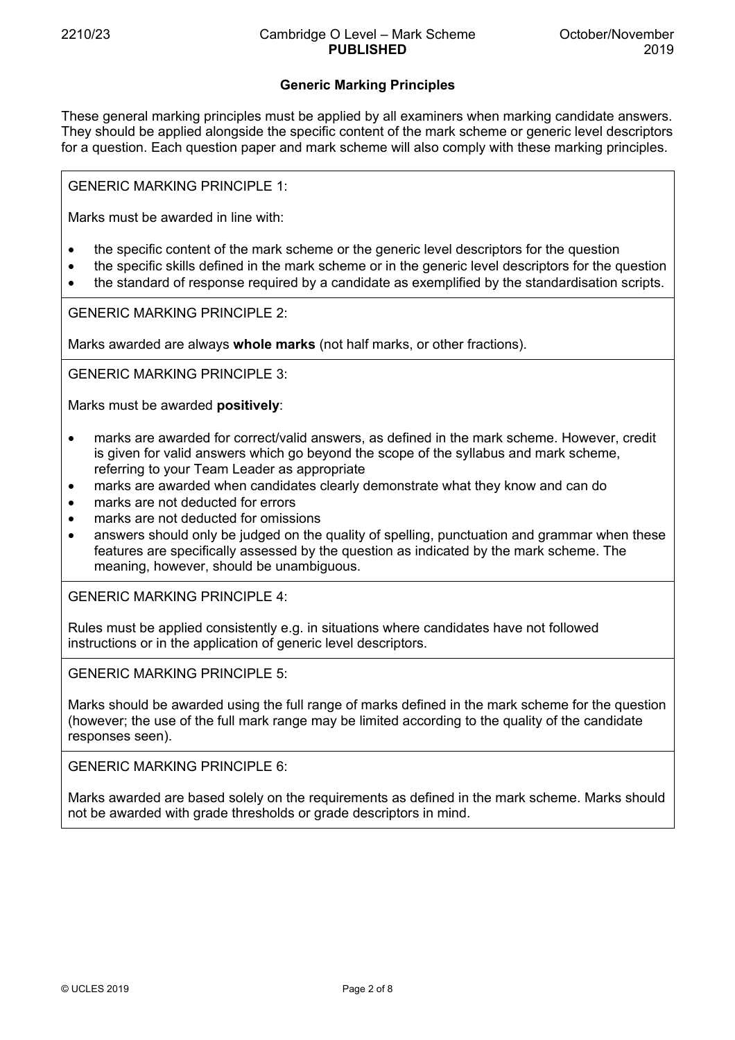# **Generic Marking Principles**

These general marking principles must be applied by all examiners when marking candidate answers. They should be applied alongside the specific content of the mark scheme or generic level descriptors for a question. Each question paper and mark scheme will also comply with these marking principles.

GENERIC MARKING PRINCIPLE 1:

Marks must be awarded in line with:

- the specific content of the mark scheme or the generic level descriptors for the question
- the specific skills defined in the mark scheme or in the generic level descriptors for the question
- the standard of response required by a candidate as exemplified by the standardisation scripts.

GENERIC MARKING PRINCIPLE 2:

Marks awarded are always **whole marks** (not half marks, or other fractions).

GENERIC MARKING PRINCIPLE 3:

Marks must be awarded **positively**:

- marks are awarded for correct/valid answers, as defined in the mark scheme. However, credit is given for valid answers which go beyond the scope of the syllabus and mark scheme, referring to your Team Leader as appropriate
- marks are awarded when candidates clearly demonstrate what they know and can do
- marks are not deducted for errors
- marks are not deducted for omissions
- answers should only be judged on the quality of spelling, punctuation and grammar when these features are specifically assessed by the question as indicated by the mark scheme. The meaning, however, should be unambiguous.

GENERIC MARKING PRINCIPLE 4:

Rules must be applied consistently e.g. in situations where candidates have not followed instructions or in the application of generic level descriptors.

GENERIC MARKING PRINCIPLE 5:

Marks should be awarded using the full range of marks defined in the mark scheme for the question (however; the use of the full mark range may be limited according to the quality of the candidate responses seen).

GENERIC MARKING PRINCIPLE 6:

Marks awarded are based solely on the requirements as defined in the mark scheme. Marks should not be awarded with grade thresholds or grade descriptors in mind.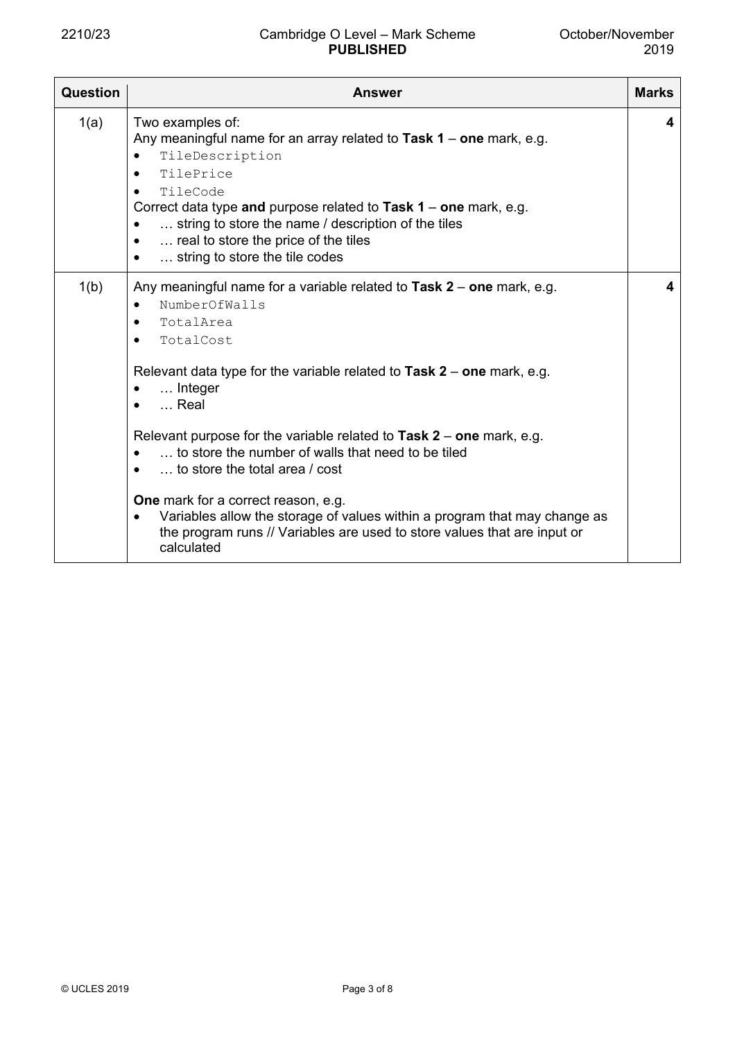| Question | <b>Marks</b><br><b>Answer</b>                                                                                                                                                                                                                                                                                                                                                                                                                                                                                                                                                                                                                                |   |  |  |  |
|----------|--------------------------------------------------------------------------------------------------------------------------------------------------------------------------------------------------------------------------------------------------------------------------------------------------------------------------------------------------------------------------------------------------------------------------------------------------------------------------------------------------------------------------------------------------------------------------------------------------------------------------------------------------------------|---|--|--|--|
| 1(a)     | Two examples of:<br>Any meaningful name for an array related to Task $1$ – one mark, e.g.<br>TileDescription<br>TilePrice<br>TileCode<br>Correct data type and purpose related to Task $1$ – one mark, e.g.<br>string to store the name / description of the tiles<br>$\bullet$<br>real to store the price of the tiles<br>$\bullet$<br>string to store the tile codes                                                                                                                                                                                                                                                                                       | 4 |  |  |  |
| 1(b)     | Any meaningful name for a variable related to Task $2$ – one mark, e.g.<br>NumberOfWalls<br>TotalArea<br>$\bullet$<br>TotalCost<br>$\bullet$<br>Relevant data type for the variable related to Task $2$ – one mark, e.g.<br>Integer<br>٠<br>$\ldots$ Real<br>Relevant purpose for the variable related to Task $2$ – one mark, e.g.<br>to store the number of walls that need to be tiled<br>$\bullet$<br>to store the total area / cost<br><b>One</b> mark for a correct reason, e.g.<br>Variables allow the storage of values within a program that may change as<br>$\bullet$<br>the program runs // Variables are used to store values that are input or | 4 |  |  |  |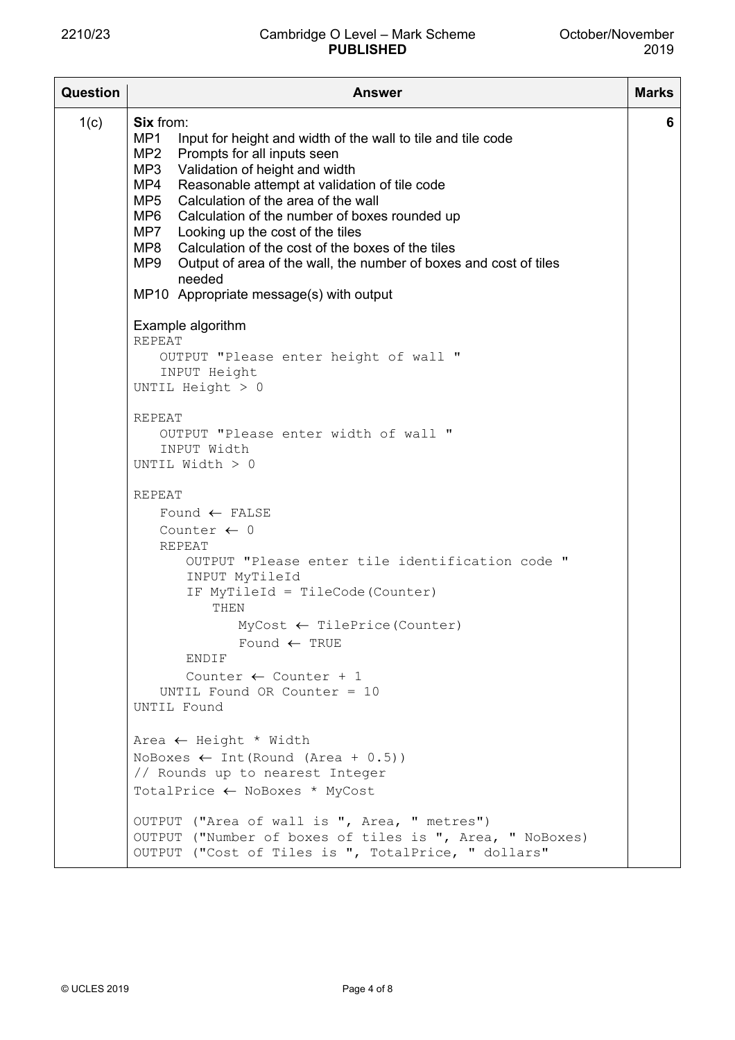| Question | <b>Answer</b>                                                                                                                                                                                                                                                                                                                                                                                                                                                                                                                                                          |   |  |  |  |
|----------|------------------------------------------------------------------------------------------------------------------------------------------------------------------------------------------------------------------------------------------------------------------------------------------------------------------------------------------------------------------------------------------------------------------------------------------------------------------------------------------------------------------------------------------------------------------------|---|--|--|--|
| 1(c)     | <b>Six from:</b><br>MP1<br>Input for height and width of the wall to tile and tile code<br>MP2<br>Prompts for all inputs seen<br>MP3<br>Validation of height and width<br>MP4<br>Reasonable attempt at validation of tile code<br>MP5<br>Calculation of the area of the wall<br>MP6<br>Calculation of the number of boxes rounded up<br>MP7 Looking up the cost of the tiles<br>MP8 Calculation of the cost of the boxes of the tiles<br>MP9<br>Output of area of the wall, the number of boxes and cost of tiles<br>needed<br>MP10 Appropriate message(s) with output | 6 |  |  |  |
|          | Example algorithm<br><b>REPEAT</b><br>OUTPUT "Please enter height of wall "<br>INPUT Height<br>UNTIL Height $> 0$                                                                                                                                                                                                                                                                                                                                                                                                                                                      |   |  |  |  |
|          | <b>REPEAT</b><br>OUTPUT "Please enter width of wall "<br>INPUT Width<br>UNTIL Width > 0                                                                                                                                                                                                                                                                                                                                                                                                                                                                                |   |  |  |  |
|          | REPEAT<br>Found $\leftarrow$ FALSE<br>Counter $\leftarrow$ 0<br>REPEAT<br>OUTPUT "Please enter tile identification code "<br>INPUT MyTileId<br>IF MyTileId = TileCode (Counter)<br>THEN<br>$MyCost \leftarrow \text{TilePrice}(\text{Counter})$<br>Found $\leftarrow$ TRUE<br>ENDIF<br>Counter $\leftarrow$ Counter + 1<br>UNTIL Found OR Counter = $10$<br>UNTIL Found                                                                                                                                                                                                |   |  |  |  |
|          | Area $\leftarrow$ Height * Width<br>NoBoxes $\leftarrow$ Int (Round (Area + 0.5))<br>// Rounds up to nearest Integer<br>TotalPrice ← NoBoxes * MyCost<br>OUTPUT ("Area of wall is ", Area, " metres")<br>OUTPUT ("Number of boxes of tiles is ", Area, " NoBoxes)<br>OUTPUT ("Cost of Tiles is ", TotalPrice, " dollars"                                                                                                                                                                                                                                               |   |  |  |  |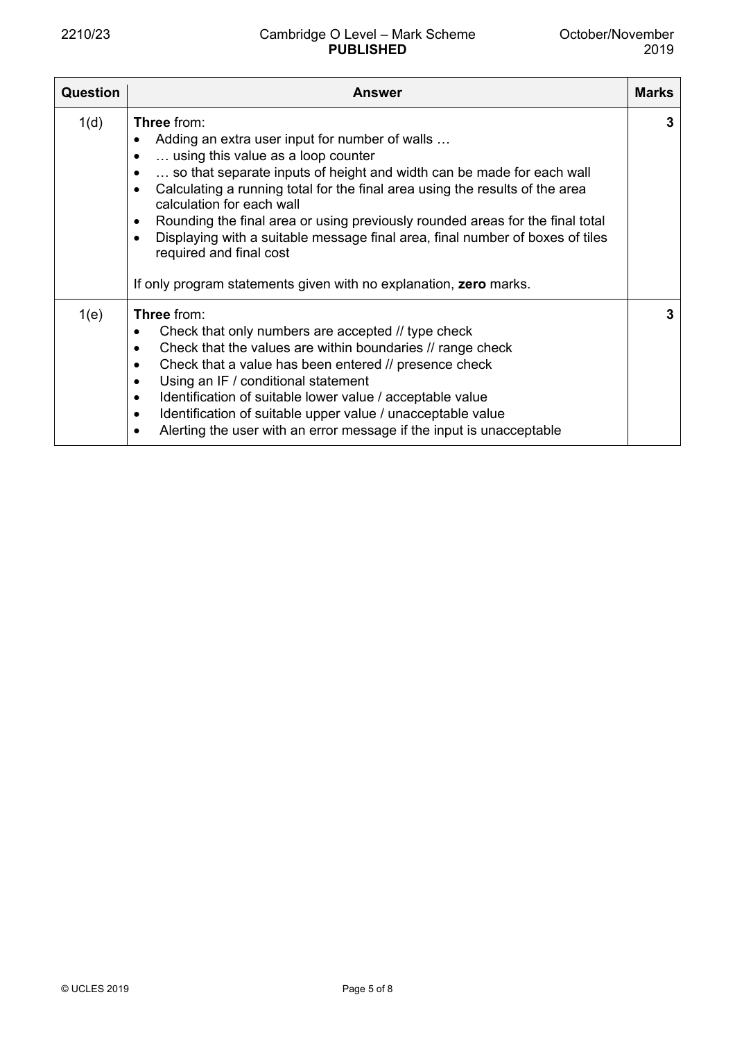| <b>Question</b> | Answer                                                                                                                                                                                                                                                                                                                                                                                                                                                                                                                                                                                       | <b>Marks</b> |
|-----------------|----------------------------------------------------------------------------------------------------------------------------------------------------------------------------------------------------------------------------------------------------------------------------------------------------------------------------------------------------------------------------------------------------------------------------------------------------------------------------------------------------------------------------------------------------------------------------------------------|--------------|
| 1(d)            | <b>Three from:</b><br>Adding an extra user input for number of walls<br>using this value as a loop counter<br>so that separate inputs of height and width can be made for each wall<br>Calculating a running total for the final area using the results of the area<br>$\bullet$<br>calculation for each wall<br>Rounding the final area or using previously rounded areas for the final total<br>$\bullet$<br>Displaying with a suitable message final area, final number of boxes of tiles<br>required and final cost<br>If only program statements given with no explanation, zero marks. | 3            |
| 1(e)            | Three from:<br>Check that only numbers are accepted // type check<br>$\bullet$<br>Check that the values are within boundaries // range check<br>$\bullet$<br>Check that a value has been entered // presence check<br>$\bullet$<br>Using an IF / conditional statement<br>$\bullet$<br>Identification of suitable lower value / acceptable value<br>$\bullet$<br>Identification of suitable upper value / unacceptable value<br>$\bullet$<br>Alerting the user with an error message if the input is unacceptable<br>$\bullet$                                                               | 3            |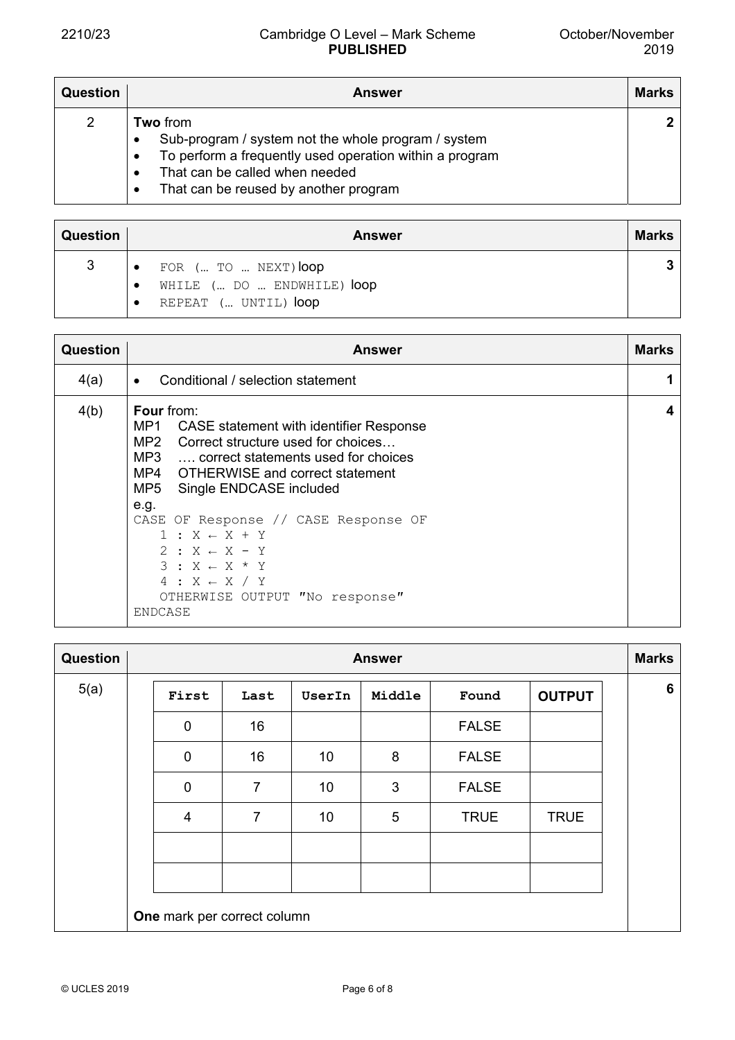| <b>Question</b> | <b>Answer</b>                                                                                                                                                                                                                                            | <b>Marks</b> |
|-----------------|----------------------------------------------------------------------------------------------------------------------------------------------------------------------------------------------------------------------------------------------------------|--------------|
| 2               | <b>Two from</b><br>Sub-program / system not the whole program / system<br>$\bullet$<br>To perform a frequently used operation within a program<br>$\bullet$<br>That can be called when needed<br>$\bullet$<br>That can be reused by another program<br>٠ | $\mathbf{2}$ |

| <b>Question</b> |                          | <b>Answer</b>                                      | <b>Marks</b> |
|-----------------|--------------------------|----------------------------------------------------|--------------|
| 3               | $\overline{\phantom{a}}$ | FOR ( TO  NEXT) loop                               | 2            |
|                 |                          | WHILE ( DO  ENDWHILE) loop<br>REPEAT ( UNTIL) loop |              |
|                 |                          |                                                    |              |

| Question | <b>Answer</b>                                                                                                                                                                                                                                                                                                                                                                                                                                   | <b>Marks</b> |  |  |  |  |
|----------|-------------------------------------------------------------------------------------------------------------------------------------------------------------------------------------------------------------------------------------------------------------------------------------------------------------------------------------------------------------------------------------------------------------------------------------------------|--------------|--|--|--|--|
| 4(a)     | Conditional / selection statement                                                                                                                                                                                                                                                                                                                                                                                                               |              |  |  |  |  |
| 4(b)     | <b>Four</b> from:<br>MP1<br>CASE statement with identifier Response<br>MP2 Correct structure used for choices<br>MP3  correct statements used for choices<br>MP4 OTHERWISE and correct statement<br>MP5 Single ENDCASE included<br>e.g.<br>CASE OF Response // CASE Response OF<br>$1: X \leftarrow X + Y$<br>$2: X \leftarrow X - Y$<br>$3: X \leftarrow X * Y$<br>$4: X \leftarrow X / Y$<br>OTHERWISE OUTPUT "No response"<br><b>ENDCASE</b> | 4            |  |  |  |  |

| Question | <b>Answer</b> |                             |                |        |        |              | <b>Marks</b>  |  |   |
|----------|---------------|-----------------------------|----------------|--------|--------|--------------|---------------|--|---|
| 5(a)     |               | First                       | Last           | UserIn | Middle | Found        | <b>OUTPUT</b> |  | 6 |
|          |               | 0                           | 16             |        |        | <b>FALSE</b> |               |  |   |
|          |               | 0                           | 16             | 10     | 8      | <b>FALSE</b> |               |  |   |
|          |               | 0                           | 7              | 10     | 3      | <b>FALSE</b> |               |  |   |
|          |               | $\overline{4}$              | $\overline{7}$ | 10     | 5      | <b>TRUE</b>  | <b>TRUE</b>   |  |   |
|          |               |                             |                |        |        |              |               |  |   |
|          |               |                             |                |        |        |              |               |  |   |
|          |               | One mark per correct column |                |        |        |              |               |  |   |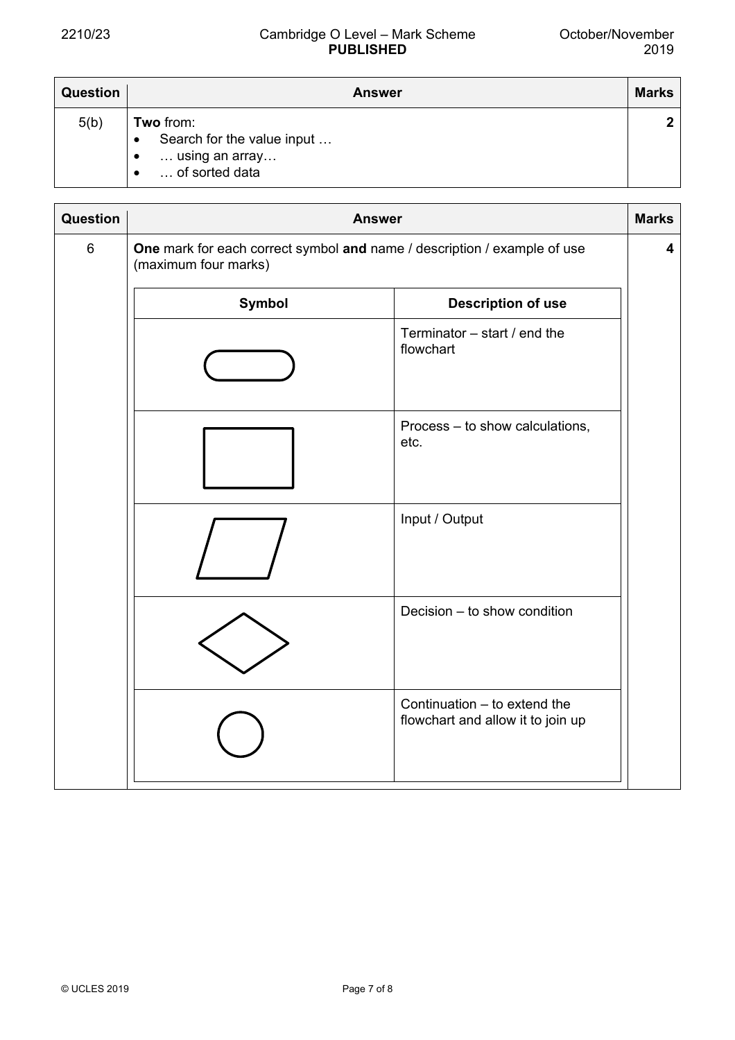| <b>Question</b> | Answer                                                                                   | <b>Marks</b> |
|-----------------|------------------------------------------------------------------------------------------|--------------|
| 5(b)            | Two from:<br>Search for the value input<br>$\bullet$<br>using an array<br>of sorted data |              |

| Question | <b>Answer</b>                                                                                    |                                                                   |  |  |  |  |
|----------|--------------------------------------------------------------------------------------------------|-------------------------------------------------------------------|--|--|--|--|
| $\,6\,$  | One mark for each correct symbol and name / description / example of use<br>(maximum four marks) |                                                                   |  |  |  |  |
|          | Symbol<br><b>Description of use</b>                                                              |                                                                   |  |  |  |  |
|          |                                                                                                  | Terminator $-$ start / end the<br>flowchart                       |  |  |  |  |
|          |                                                                                                  | Process - to show calculations,<br>etc.                           |  |  |  |  |
|          |                                                                                                  | Input / Output                                                    |  |  |  |  |
|          |                                                                                                  | Decision - to show condition                                      |  |  |  |  |
|          |                                                                                                  | Continuation - to extend the<br>flowchart and allow it to join up |  |  |  |  |